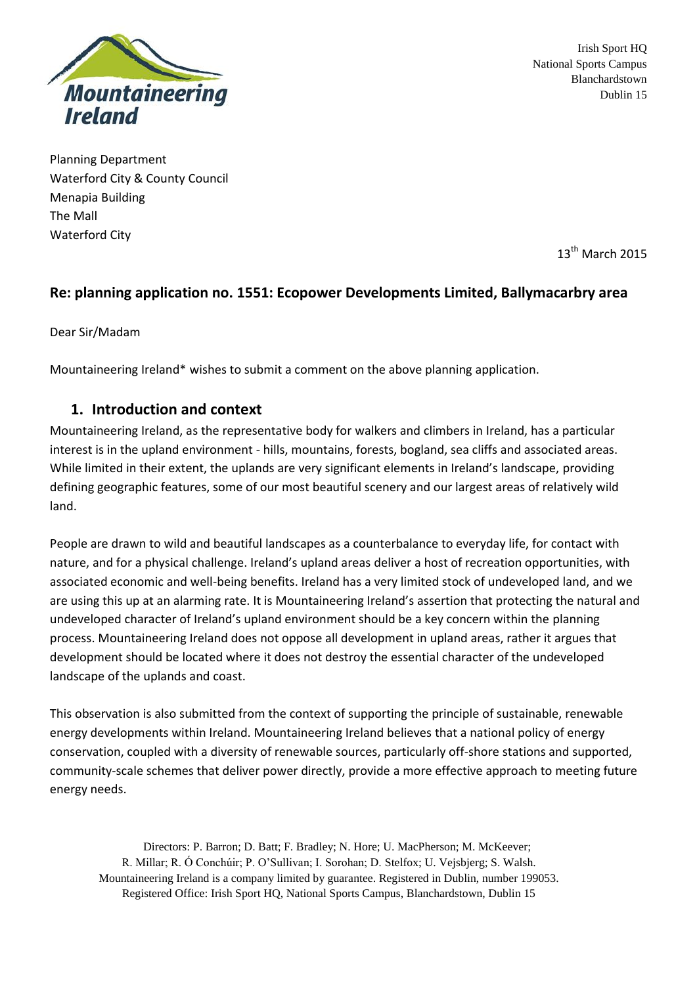

Irish Sport HQ National Sports Campus Blanchardstown Dublin 15

Planning Department Waterford City & County Council Menapia Building The Mall Waterford City

 $13<sup>th</sup>$  March 2015

# **Re: planning application no. 1551: Ecopower Developments Limited, Ballymacarbry area**

Dear Sir/Madam

Mountaineering Ireland\* wishes to submit a comment on the above planning application.

# **1. Introduction and context**

Mountaineering Ireland, as the representative body for walkers and climbers in Ireland, has a particular interest is in the upland environment - hills, mountains, forests, bogland, sea cliffs and associated areas. While limited in their extent, the uplands are very significant elements in Ireland's landscape, providing defining geographic features, some of our most beautiful scenery and our largest areas of relatively wild land.

People are drawn to wild and beautiful landscapes as a counterbalance to everyday life, for contact with nature, and for a physical challenge. Ireland's upland areas deliver a host of recreation opportunities, with associated economic and well-being benefits. Ireland has a very limited stock of undeveloped land, and we are using this up at an alarming rate. It is Mountaineering Ireland's assertion that protecting the natural and undeveloped character of Ireland's upland environment should be a key concern within the planning process. Mountaineering Ireland does not oppose all development in upland areas, rather it argues that development should be located where it does not destroy the essential character of the undeveloped landscape of the uplands and coast.

This observation is also submitted from the context of supporting the principle of sustainable, renewable energy developments within Ireland. Mountaineering Ireland believes that a national policy of energy conservation, coupled with a diversity of renewable sources, particularly off-shore stations and supported, community-scale schemes that deliver power directly, provide a more effective approach to meeting future energy needs.

Directors: P. Barron; D. Batt; F. Bradley; N. Hore; U. MacPherson; M. McKeever; R. Millar; R. Ó Conchúir; P. O'Sullivan; I. Sorohan; D. Stelfox; U. Vejsbjerg; S. Walsh. Mountaineering Ireland is a company limited by guarantee. Registered in Dublin, number 199053. Registered Office: Irish Sport HQ, National Sports Campus, Blanchardstown, Dublin 15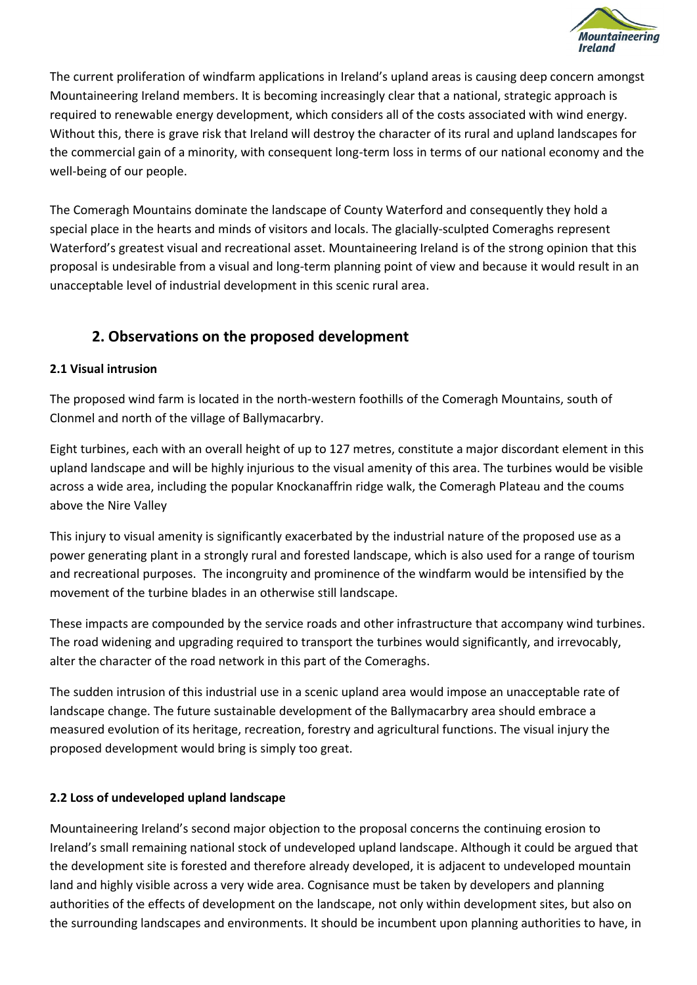

The current proliferation of windfarm applications in Ireland's upland areas is causing deep concern amongst Mountaineering Ireland members. It is becoming increasingly clear that a national, strategic approach is required to renewable energy development, which considers all of the costs associated with wind energy. Without this, there is grave risk that Ireland will destroy the character of its rural and upland landscapes for the commercial gain of a minority, with consequent long-term loss in terms of our national economy and the well-being of our people.

The Comeragh Mountains dominate the landscape of County Waterford and consequently they hold a special place in the hearts and minds of visitors and locals. The glacially-sculpted Comeraghs represent Waterford's greatest visual and recreational asset. Mountaineering Ireland is of the strong opinion that this proposal is undesirable from a visual and long-term planning point of view and because it would result in an unacceptable level of industrial development in this scenic rural area.

# **2. Observations on the proposed development**

## **2.1 Visual intrusion**

The proposed wind farm is located in the north-western foothills of the Comeragh Mountains, south of Clonmel and north of the village of Ballymacarbry.

Eight turbines, each with an overall height of up to 127 metres, constitute a major discordant element in this upland landscape and will be highly injurious to the visual amenity of this area. The turbines would be visible across a wide area, including the popular Knockanaffrin ridge walk, the Comeragh Plateau and the coums above the Nire Valley

This injury to visual amenity is significantly exacerbated by the industrial nature of the proposed use as a power generating plant in a strongly rural and forested landscape, which is also used for a range of tourism and recreational purposes. The incongruity and prominence of the windfarm would be intensified by the movement of the turbine blades in an otherwise still landscape.

These impacts are compounded by the service roads and other infrastructure that accompany wind turbines. The road widening and upgrading required to transport the turbines would significantly, and irrevocably, alter the character of the road network in this part of the Comeraghs.

The sudden intrusion of this industrial use in a scenic upland area would impose an unacceptable rate of landscape change. The future sustainable development of the Ballymacarbry area should embrace a measured evolution of its heritage, recreation, forestry and agricultural functions. The visual injury the proposed development would bring is simply too great.

## **2.2 Loss of undeveloped upland landscape**

Mountaineering Ireland's second major objection to the proposal concerns the continuing erosion to Ireland's small remaining national stock of undeveloped upland landscape. Although it could be argued that the development site is forested and therefore already developed, it is adjacent to undeveloped mountain land and highly visible across a very wide area. Cognisance must be taken by developers and planning authorities of the effects of development on the landscape, not only within development sites, but also on the surrounding landscapes and environments. It should be incumbent upon planning authorities to have, in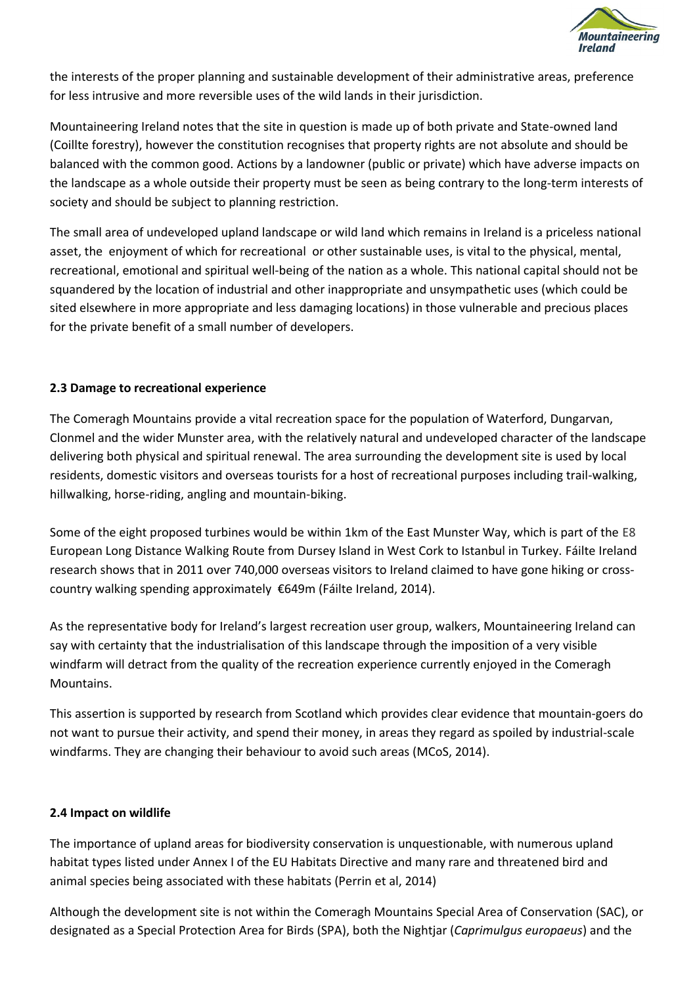

the interests of the proper planning and sustainable development of their administrative areas, preference for less intrusive and more reversible uses of the wild lands in their jurisdiction.

Mountaineering Ireland notes that the site in question is made up of both private and State-owned land (Coillte forestry), however the constitution recognises that property rights are not absolute and should be balanced with the common good. Actions by a landowner (public or private) which have adverse impacts on the landscape as a whole outside their property must be seen as being contrary to the long-term interests of society and should be subject to planning restriction.

The small area of undeveloped upland landscape or wild land which remains in Ireland is a priceless national asset, the enjoyment of which for recreational or other sustainable uses, is vital to the physical, mental, recreational, emotional and spiritual well-being of the nation as a whole. This national capital should not be squandered by the location of industrial and other inappropriate and unsympathetic uses (which could be sited elsewhere in more appropriate and less damaging locations) in those vulnerable and precious places for the private benefit of a small number of developers.

#### **2.3 Damage to recreational experience**

The Comeragh Mountains provide a vital recreation space for the population of Waterford, Dungarvan, Clonmel and the wider Munster area, with the relatively natural and undeveloped character of the landscape delivering both physical and spiritual renewal. The area surrounding the development site is used by local residents, domestic visitors and overseas tourists for a host of recreational purposes including trail-walking, hillwalking, horse-riding, angling and mountain-biking.

Some of the eight proposed turbines would be within 1km of the East Munster Way, which is part of the E8 European Long Distance Walking Route from Dursey Island in West Cork to Istanbul in Turkey. Fáilte Ireland research shows that in 2011 over 740,000 overseas visitors to Ireland claimed to have gone hiking or crosscountry walking spending approximately €649m (Fáilte Ireland, 2014).

As the representative body for Ireland's largest recreation user group, walkers, Mountaineering Ireland can say with certainty that the industrialisation of this landscape through the imposition of a very visible windfarm will detract from the quality of the recreation experience currently enjoyed in the Comeragh Mountains.

This assertion is supported by research from Scotland which provides clear evidence that mountain-goers do not want to pursue their activity, and spend their money, in areas they regard as spoiled by industrial-scale windfarms. They are changing their behaviour to avoid such areas (MCoS, 2014).

#### **2.4 Impact on wildlife**

The importance of upland areas for biodiversity conservation is unquestionable, with numerous upland habitat types listed under Annex I of the EU Habitats Directive and many rare and threatened bird and animal species being associated with these habitats (Perrin et al, 2014)

Although the development site is not within the Comeragh Mountains Special Area of Conservation (SAC), or designated as a Special Protection Area for Birds (SPA), both the Nightjar (*Caprimulgus europaeus*) and the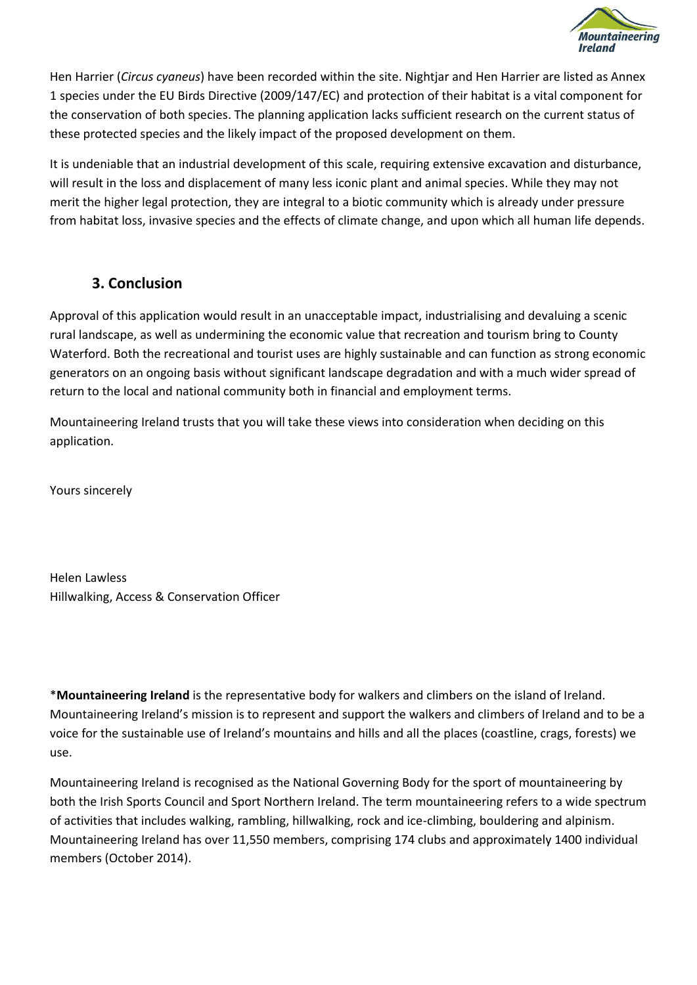

Hen Harrier (*Circus cyaneus*) have been recorded within the site. Nightjar and Hen Harrier are listed as Annex 1 species under the EU Birds Directive (2009/147/EC) and protection of their habitat is a vital component for the conservation of both species. The planning application lacks sufficient research on the current status of these protected species and the likely impact of the proposed development on them.

It is undeniable that an industrial development of this scale, requiring extensive excavation and disturbance, will result in the loss and displacement of many less iconic plant and animal species. While they may not merit the higher legal protection, they are integral to a biotic community which is already under pressure from habitat loss, invasive species and the effects of climate change, and upon which all human life depends.

# **3. Conclusion**

Approval of this application would result in an unacceptable impact, industrialising and devaluing a scenic rural landscape, as well as undermining the economic value that recreation and tourism bring to County Waterford. Both the recreational and tourist uses are highly sustainable and can function as strong economic generators on an ongoing basis without significant landscape degradation and with a much wider spread of return to the local and national community both in financial and employment terms.

Mountaineering Ireland trusts that you will take these views into consideration when deciding on this application.

Yours sincerely

Helen Lawless Hillwalking, Access & Conservation Officer

\***Mountaineering Ireland** is the representative body for walkers and climbers on the island of Ireland. Mountaineering Ireland's mission is to represent and support the walkers and climbers of Ireland and to be a voice for the sustainable use of Ireland's mountains and hills and all the places (coastline, crags, forests) we use.

Mountaineering Ireland is recognised as the National Governing Body for the sport of mountaineering by both the Irish Sports Council and Sport Northern Ireland. The term mountaineering refers to a wide spectrum of activities that includes walking, rambling, hillwalking, rock and ice-climbing, bouldering and alpinism. Mountaineering Ireland has over 11,550 members, comprising 174 clubs and approximately 1400 individual members (October 2014).